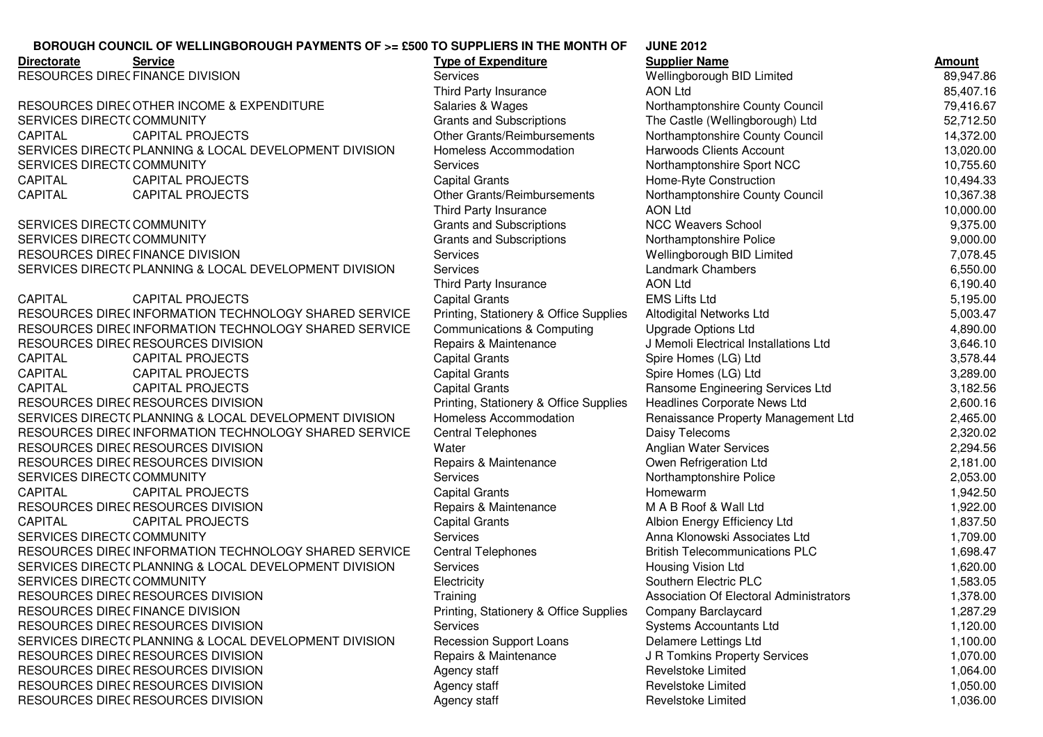## **JUNE 2012BOROUGH COUNCIL OF WELLINGBOROUGH PAYMENTS OF >= £500 TO SUPPLIERS IN THE MONTH OF**

| <b>Service</b><br><b>Directorate</b>                  | <b>Type of Expenditure</b>             | <b>Supplier Name</b>                    | <b>Amount</b> |
|-------------------------------------------------------|----------------------------------------|-----------------------------------------|---------------|
| RESOURCES DIREC FINANCE DIVISION                      | <b>Services</b>                        | Wellingborough BID Limited              | 89,947.86     |
|                                                       | Third Party Insurance                  | <b>AON Ltd</b>                          | 85,407.16     |
| RESOURCES DIRECOTHER INCOME & EXPENDITURE             | Salaries & Wages                       | Northamptonshire County Council         | 79,416.67     |
| SERVICES DIRECT(COMMUNITY                             | <b>Grants and Subscriptions</b>        | The Castle (Wellingborough) Ltd         | 52,712.50     |
| CAPITAL<br><b>CAPITAL PROJECTS</b>                    | Other Grants/Reimbursements            | Northamptonshire County Council         | 14,372.00     |
| SERVICES DIRECT(PLANNING & LOCAL DEVELOPMENT DIVISION | Homeless Accommodation                 | Harwoods Clients Account                | 13,020.00     |
| SERVICES DIRECT(COMMUNITY                             | <b>Services</b>                        | Northamptonshire Sport NCC              | 10,755.60     |
| <b>CAPITAL</b><br><b>CAPITAL PROJECTS</b>             | <b>Capital Grants</b>                  | Home-Ryte Construction                  | 10,494.33     |
| CAPITAL<br><b>CAPITAL PROJECTS</b>                    | Other Grants/Reimbursements            | Northamptonshire County Council         | 10,367.38     |
|                                                       | Third Party Insurance                  | <b>AON Ltd</b>                          | 10,000.00     |
| SERVICES DIRECT(COMMUNITY                             | <b>Grants and Subscriptions</b>        | <b>NCC Weavers School</b>               | 9,375.00      |
| SERVICES DIRECT(COMMUNITY                             | <b>Grants and Subscriptions</b>        | Northamptonshire Police                 | 9,000.00      |
| RESOURCES DIREC FINANCE DIVISION                      | Services                               | Wellingborough BID Limited              | 7,078.45      |
| SERVICES DIRECT(PLANNING & LOCAL DEVELOPMENT DIVISION | <b>Services</b>                        | <b>Landmark Chambers</b>                | 6,550.00      |
|                                                       | Third Party Insurance                  | <b>AON Ltd</b>                          | 6,190.40      |
| <b>CAPITAL</b><br><b>CAPITAL PROJECTS</b>             | <b>Capital Grants</b>                  | <b>EMS Lifts Ltd</b>                    | 5,195.00      |
| RESOURCES DIREC INFORMATION TECHNOLOGY SHARED SERVICE | Printing, Stationery & Office Supplies | Altodigital Networks Ltd                | 5,003.47      |
| RESOURCES DIREC INFORMATION TECHNOLOGY SHARED SERVICE | Communications & Computing             | <b>Upgrade Options Ltd</b>              | 4,890.00      |
| RESOURCES DIREC RESOURCES DIVISION                    | Repairs & Maintenance                  | J Memoli Electrical Installations Ltd   | 3,646.10      |
| <b>CAPITAL</b><br><b>CAPITAL PROJECTS</b>             | <b>Capital Grants</b>                  | Spire Homes (LG) Ltd                    | 3,578.44      |
| <b>CAPITAL</b><br><b>CAPITAL PROJECTS</b>             | <b>Capital Grants</b>                  | Spire Homes (LG) Ltd                    | 3,289.00      |
| <b>CAPITAL</b><br><b>CAPITAL PROJECTS</b>             | <b>Capital Grants</b>                  | Ransome Engineering Services Ltd        | 3,182.56      |
| RESOURCES DIREC RESOURCES DIVISION                    | Printing, Stationery & Office Supplies | Headlines Corporate News Ltd            | 2,600.16      |
| SERVICES DIRECT(PLANNING & LOCAL DEVELOPMENT DIVISION | Homeless Accommodation                 | Renaissance Property Management Ltd     | 2,465.00      |
| RESOURCES DIREC INFORMATION TECHNOLOGY SHARED SERVICE | <b>Central Telephones</b>              | Daisy Telecoms                          | 2,320.02      |
| RESOURCES DIREC RESOURCES DIVISION                    | Water                                  | Anglian Water Services                  | 2,294.56      |
| RESOURCES DIREC RESOURCES DIVISION                    | Repairs & Maintenance                  | Owen Refrigeration Ltd                  | 2,181.00      |
| SERVICES DIRECT(COMMUNITY                             | <b>Services</b>                        | Northamptonshire Police                 | 2,053.00      |
| <b>CAPITAL</b><br><b>CAPITAL PROJECTS</b>             | <b>Capital Grants</b>                  | Homewarm                                | 1,942.50      |
| RESOURCES DIREC RESOURCES DIVISION                    | Repairs & Maintenance                  | M A B Roof & Wall Ltd                   | 1,922.00      |
| <b>CAPITAL</b><br><b>CAPITAL PROJECTS</b>             | <b>Capital Grants</b>                  | Albion Energy Efficiency Ltd            | 1,837.50      |
| SERVICES DIRECT(COMMUNITY                             | Services                               | Anna Klonowski Associates Ltd           | 1,709.00      |
| RESOURCES DIREC INFORMATION TECHNOLOGY SHARED SERVICE | <b>Central Telephones</b>              | <b>British Telecommunications PLC</b>   | 1,698.47      |
| SERVICES DIRECT(PLANNING & LOCAL DEVELOPMENT DIVISION | Services                               | Housing Vision Ltd                      | 1,620.00      |
| SERVICES DIRECT(COMMUNITY                             | Electricity                            | Southern Electric PLC                   | 1,583.05      |
| RESOURCES DIREC RESOURCES DIVISION                    | Training                               | Association Of Electoral Administrators | 1,378.00      |
| RESOURCES DIREC FINANCE DIVISION                      | Printing, Stationery & Office Supplies | Company Barclaycard                     | 1,287.29      |
| RESOURCES DIREC RESOURCES DIVISION                    | <b>Services</b>                        | Systems Accountants Ltd                 | 1,120.00      |
| SERVICES DIRECT(PLANNING & LOCAL DEVELOPMENT DIVISION | <b>Recession Support Loans</b>         | Delamere Lettings Ltd                   | 1,100.00      |
| RESOURCES DIREC RESOURCES DIVISION                    | Repairs & Maintenance                  | J R Tomkins Property Services           | 1,070.00      |
| RESOURCES DIREC RESOURCES DIVISION                    | Agency staff                           | Revelstoke Limited                      | 1,064.00      |
| RESOURCES DIREC RESOURCES DIVISION                    | Agency staff                           | Revelstoke Limited                      | 1,050.00      |
| RESOURCES DIREC RESOURCES DIVISION                    | Agency staff                           | Revelstoke Limited                      | 1,036.00      |

RESOURCES DIVISION **Revelstoke Limited** 1,036.00